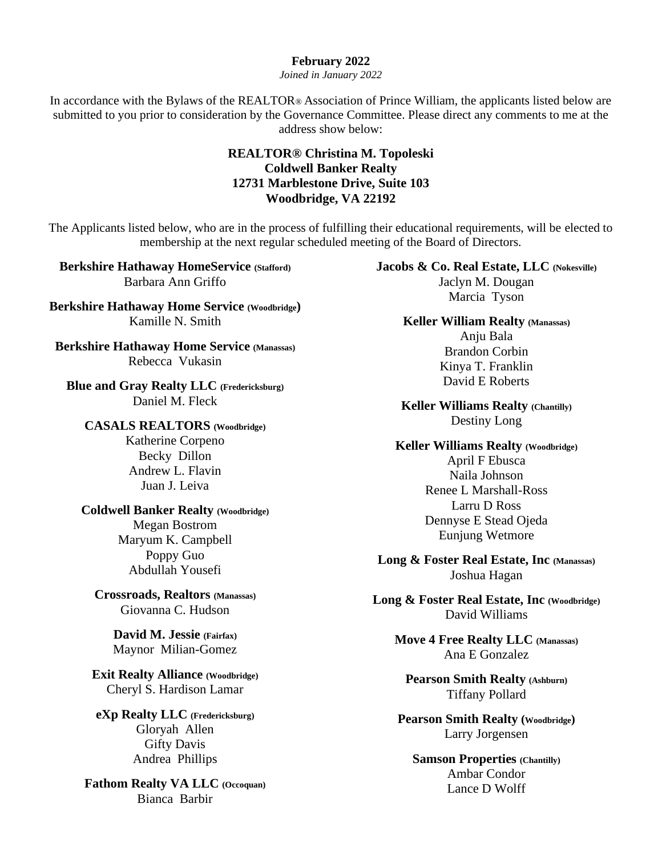## **February 2022**

*Joined in January 2022*

In accordance with the Bylaws of the REALTOR® Association of Prince William, the applicants listed below are submitted to you prior to consideration by the Governance Committee. Please direct any comments to me at the address show below:

## **REALTOR® Christina M. Topoleski Coldwell Banker Realty 12731 Marblestone Drive, Suite 103 Woodbridge, VA 22192**

The Applicants listed below, who are in the process of fulfilling their educational requirements, will be elected to membership at the next regular scheduled meeting of the Board of Directors.

**Berkshire Hathaway HomeService (Stafford)** Barbara Ann Griffo

**Berkshire Hathaway Home Service (Woodbridge)** Kamille N. Smith

**Berkshire Hathaway Home Service (Manassas)** Rebecca Vukasin

**Blue and Gray Realty LLC (Fredericksburg)** Daniel M. Fleck

**CASALS REALTORS (Woodbridge)** Katherine Corpeno Becky Dillon Andrew L. Flavin Juan J. Leiva

## **Coldwell Banker Realty (Woodbridge)**

Megan Bostrom Maryum K. Campbell Poppy Guo Abdullah Yousefi

**Crossroads, Realtors (Manassas)** Giovanna C. Hudson

> **David M. Jessie (Fairfax)** Maynor Milian-Gomez

**Exit Realty Alliance (Woodbridge)** Cheryl S. Hardison Lamar

**eXp Realty LLC (Fredericksburg)** Gloryah Allen Gifty Davis Andrea Phillips

**Fathom Realty VA LLC (Occoquan)** Bianca Barbir

**Jacobs & Co. Real Estate, LLC (Nokesville)** Jaclyn M. Dougan Marcia Tyson

> **Keller William Realty (Manassas)** Anju Bala Brandon Corbin Kinya T. Franklin David E Roberts

**Keller Williams Realty (Chantilly)** Destiny Long

**Keller Williams Realty (Woodbridge)** April F Ebusca Naila Johnson Renee L Marshall-Ross Larru D Ross Dennyse E Stead Ojeda Eunjung Wetmore

**Long & Foster Real Estate, Inc (Manassas)** Joshua Hagan

**Long & Foster Real Estate, Inc (Woodbridge)** David Williams

**Move 4 Free Realty LLC (Manassas)** Ana E Gonzalez

**Pearson Smith Realty (Ashburn)** Tiffany Pollard

**Pearson Smith Realty (Woodbridge)** Larry Jorgensen

**Samson Properties (Chantilly)** Ambar Condor Lance D Wolff